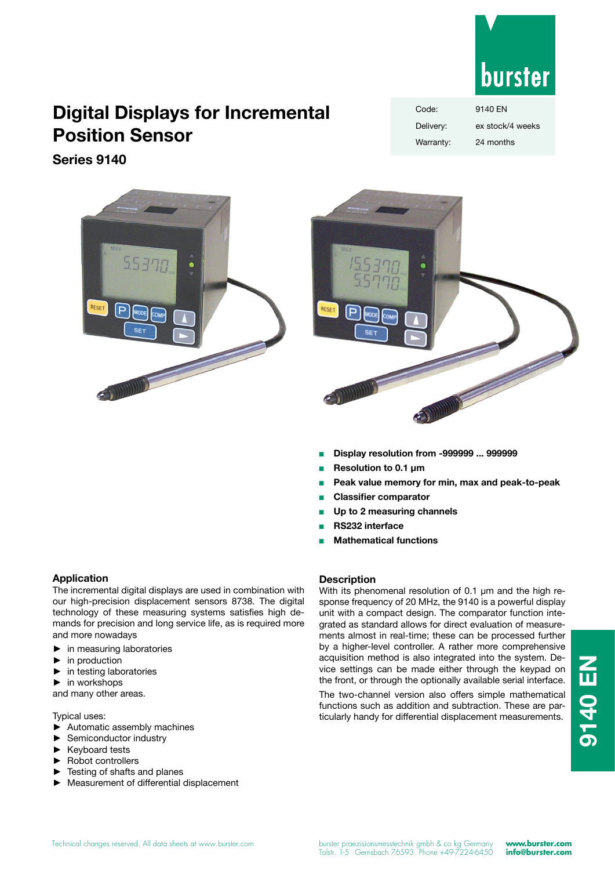

# **Digital Displays for Incremental Position Sensor**

**Series 9140**







- <sup>n</sup> **Display resolution from -999999 ... 999999**
- <sup>n</sup> **Resolution to 0.1 µm**
- **n** Peak value memory for min, max and peak-to-peak
- **Classifier comparator**
- Up to 2 measuring channels
- <sup>n</sup> **RS232 interface**
- **Mathematical functions**

## **Application**

The incremental digital displays are used in combination with our high-precision displacement sensors 8738. The digital technology of these measuring systems satisfies high demands for precision and long service life, as is required more and more nowadays

- in measuring laboratories
- $\blacktriangleright$  in production
- $\blacktriangleright$  in testing laboratories
- $\blacktriangleright$  in workshops

and many other areas.

Typical uses:

- ▶ Automatic assembly machines
- Semiconductor industry
- ► Keyboard tests
- Robot controllers
- Testing of shafts and planes
- Measurement of differential displacement

## **Description**

With its phenomenal resolution of 0.1  $\mu$ m and the high response frequency of 20 MHz, the 9140 is a powerful display unit with a compact design. The comparator function integrated as standard allows for direct evaluation of measurements almost in real-time; these can be processed further by a higher-level controller. A rather more comprehensive acquisition method is also integrated into the system. Device settings can be made either through the keypad on the front, or through the optionally available serial interface.

The two-channel version also offers simple mathematical functions such as addition and subtraction. These are particularly handy for differential displacement measurements.